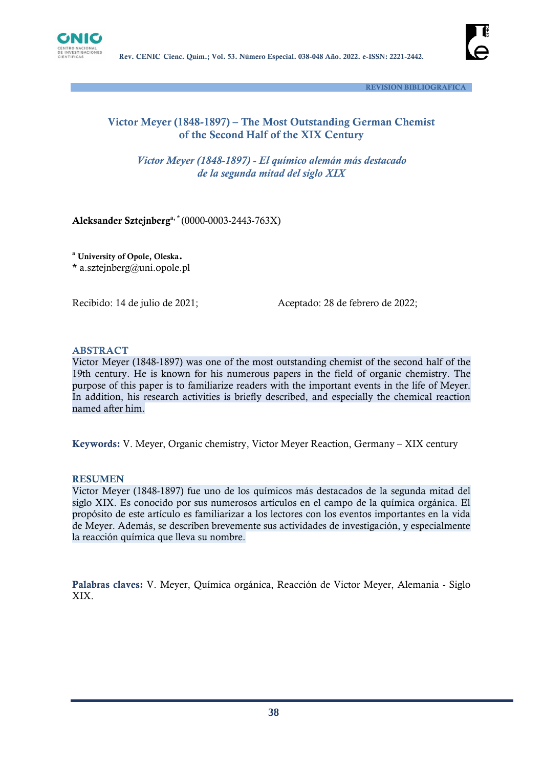



 **REVISION BIBLIOGRAFICA**

## **Victor Meyer (1848-1897) – The Most Outstanding German Chemist of the Second Half of the XIX Century**

*Victor Meyer (1848-1897) - El químico alemán más destacado de la segunda mitad del siglo XIX*

**Aleksander Sztejnberga, \*** (0000-0003-2443-763X)

**<sup>a</sup> University of Opole, Oleska. \*** a.sztejnberg@uni.opole.pl

Recibido: 14 de julio de 2021;Aceptado: 28 de febrero de 2022;

#### **ABSTRACT**

Victor Meyer (1848-1897) was one of the most outstanding chemist of the second half of the 19th century. He is known for his numerous papers in the field of organic chemistry. The purpose of this paper is to familiarize readers with the important events in the life of Meyer. In addition, his research activities is briefly described, and especially the chemical reaction named after him.

**Keywords:** V. Meyer, Organic chemistry, Victor Meyer Reaction, Germany – XIX century

#### **RESUMEN**

Victor Meyer (1848-1897) fue uno de los químicos más destacados de la segunda mitad del siglo XIX. Es conocido por sus numerosos artículos en el campo de la química orgánica. El propósito de este artículo es familiarizar a los lectores con los eventos importantes en la vida de Meyer. Además, se describen brevemente sus actividades de investigación, y especialmente la reacción química que lleva su nombre.

**Palabras claves:** V. Meyer, Química orgánica, Reacción de Victor Meyer, Alemania - Siglo XIX.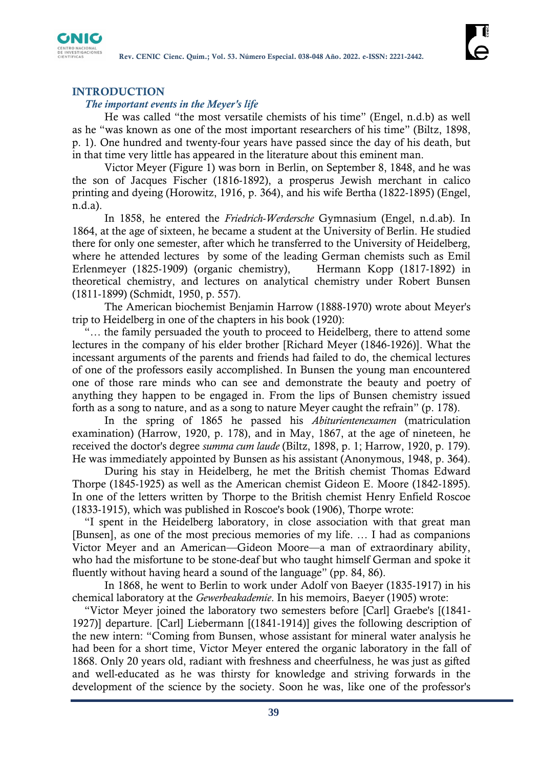

### **INTRODUCTION**

#### *The important events in the Meyer's life*

He was called "the most versatile chemists of his time" (Engel, n.d.b) as well as he "was known as one of the most important researchers of his time" (Biltz, 1898, p. 1). One hundred and twenty-four years have passed since the day of his death, but in that time very little has appeared in the literature about this eminent man.

Victor Meyer (Figure 1) was born in Berlin, on September 8, 1848, and he was the son of Jacques Fischer (1816-1892), a prosperus Jewish merchant in calico printing and dyeing (Horowitz, 1916, p. 364), and his wife Bertha (1822-1895) (Engel, n.d.a).

In 1858, he entered the *Friedrich-Werdersche* Gymnasium (Engel, n.d.ab). In 1864, at the age of sixteen, he became a student at the University of Berlin. He studied there for only one semester, after which he transferred to the University of Heidelberg, where he attended lectures by some of the leading German chemists such as Emil Erlenmeyer (1825-1909) (organic chemistry), Hermann Kopp (1817-1892) in theoretical chemistry, and lectures on analytical chemistry under Robert Bunsen (1811-1899) (Schmidt, 1950, p. 557).

The American biochemist Benjamin Harrow (1888-1970) wrote about Meyer's trip to Heidelberg in one of the chapters in his book (1920):

"… the family persuaded the youth to proceed to Heidelberg, there to attend some lectures in the company of his elder brother [Richard Meyer (1846-1926)]. What the incessant arguments of the parents and friends had failed to do, the chemical lectures of one of the professors easily accomplished. In Bunsen the young man encountered one of those rare minds who can see and demonstrate the beauty and poetry of anything they happen to be engaged in. From the lips of Bunsen chemistry issued forth as a song to nature, and as a song to nature Meyer caught the refrain" (p. 178).

In the spring of 1865 he passed his *Abiturientenexamen* (matriculation examination) (Harrow, 1920, p. 178), and in May, 1867, at the age of nineteen, he received the doctor's degree *summa cum laude* (Biltz, 1898, p. 1; Harrow, 1920, p. 179). He was immediately appointed by Bunsen as his assistant (Anonymous, 1948, p. 364).

During his stay in Heidelberg, he met the British chemist Thomas Edward Thorpe (1845-1925) as well as the American chemist Gideon E. Moore (1842-1895). In one of the letters written by Thorpe to the British chemist Henry Enfield Roscoe (1833-1915), which was published in Roscoe's book (1906), Thorpe wrote:

"I spent in the Heidelberg laboratory, in close association with that great man [Bunsen], as one of the most precious memories of my life. … I had as companions Victor Meyer and an American—Gideon Moore—a man of extraordinary ability, who had the misfortune to be stone-deaf but who taught himself German and spoke it fluently without having heard a sound of the language" (pp. 84, 86).

In 1868, he went to Berlin to work under Adolf von Baeyer (1835-1917) in his chemical laboratory at the *Gewerbeakademie*. In his memoirs, Baeyer (1905) wrote:

"Victor Meyer joined the laboratory two semesters before [Carl] Graebe's [(1841- 1927)] departure. [Carl] Liebermann [(1841-1914)] gives the following description of the new intern: "Coming from Bunsen, whose assistant for mineral water analysis he had been for a short time, Victor Meyer entered the organic laboratory in the fall of 1868. Only 20 years old, radiant with freshness and cheerfulness, he was just as gifted and well-educated as he was thirsty for knowledge and striving forwards in the development of the science by the society. Soon he was, like one of the professor's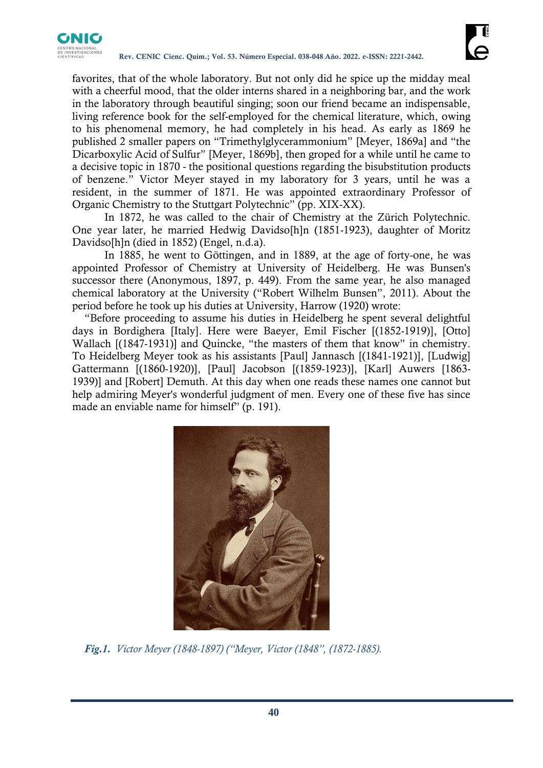

favorites, that of the whole laboratory. But not only did he spice up the midday meal with a cheerful mood, that the older interns shared in a neighboring bar, and the work in the laboratory through beautiful singing; soon our friend became an indispensable, living reference book for the self-employed for the chemical literature, which, owing to his phenomenal memory, he had completely in his head. As early as 1869 he published 2 smaller papers on "Trimethylglycerammonium" [Meyer, 1869a] and "the Dicarboxylic Acid of Sulfur" [Meyer, 1869b], then groped for a while until he came to a decisive topic in 1870 - the positional questions regarding the bisubstitution products of benzene." Victor Meyer stayed in my laboratory for 3 years, until he was a resident, in the summer of 1871. He was appointed extraordinary Professor of Organic Chemistry to the Stuttgart Polytechnic" (pp. XIX-XX).

In 1872, he was called to the chair of Chemistry at the Zürich Polytechnic. One year later, he married Hedwig Davidso[h]n (1851-1923), daughter of Moritz Davidso[h]n (died in 1852) (Engel, n.d.a).

In 1885, he went to Göttingen, and in 1889, at the age of forty-one, he was appointed Professor of Chemistry at University of Heidelberg. He was Bunsen's successor there (Anonymous, 1897, p. 449). From the same year, he also managed chemical laboratory at the University ("Robert Wilhelm Bunsen", 2011). About the period before he took up his duties at University, Harrow (1920) wrote:

"Before proceeding to assume his duties in Heidelberg he spent several delightful days in Bordighera [Italy]. Here were Baeyer, Emil Fischer [(1852-1919)], [Otto] Wallach [(1847-1931)] and Quincke, "the masters of them that know" in chemistry. To Heidelberg Meyer took as his assistants [Paul] Jannasch [(1841-1921)], [Ludwig] Gattermann [(1860-1920)], [Paul] Jacobson [(1859-1923)], [Karl] Auwers [1863- 1939)] and [Robert] Demuth. At this day when one reads these names one cannot but help admiring Meyer's wonderful judgment of men. Every one of these five has since made an enviable name for himself" (p. 191).



*Fig.1. Victor Meyer (1848-1897) ("Meyer, Victor (1848", (1872-1885).*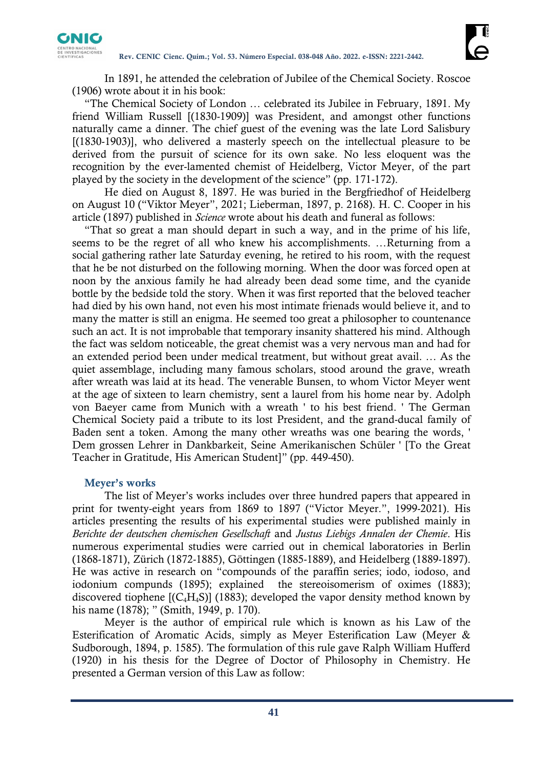

In 1891, he attended the celebration of Jubilee of the Chemical Society. Roscoe (1906) wrote about it in his book:

"The Chemical Society of London … celebrated its Jubilee in February, 1891. My friend William Russell [(1830-1909)] was President, and amongst other functions naturally came a dinner. The chief guest of the evening was the late Lord Salisbury [(1830-1903)], who delivered a masterly speech on the intellectual pleasure to be derived from the pursuit of science for its own sake. No less eloquent was the recognition by the ever-lamented chemist of Heidelberg, Victor Meyer, of the part played by the society in the development of the science" (pp. 171-172).

He died on August 8, 1897. He was buried in the Bergfriedhof of Heidelberg on August 10 ("Viktor Meyer", 2021; Lieberman, 1897, p. 2168). H. C. Cooper in his article (1897) published in *Science* wrote about his death and funeral as follows:

"That so great a man should depart in such a way, and in the prime of his life, seems to be the regret of all who knew his accomplishments. …Returning from a social gathering rather late Saturday evening, he retired to his room, with the request that he be not disturbed on the following morning. When the door was forced open at noon by the anxious family he had already been dead some time, and the cyanide bottle by the bedside told the story. When it was first reported that the beloved teacher had died by his own hand, not even his most intimate frienads would believe it, and to many the matter is still an enigma. He seemed too great a philosopher to countenance such an act. It is not improbable that temporary insanity shattered his mind. Although the fact was seldom noticeable, the great chemist was a very nervous man and had for an extended period been under medical treatment, but without great avail. … As the quiet assemblage, including many famous scholars, stood around the grave, wreath after wreath was laid at its head. The venerable Bunsen, to whom Victor Meyer went at the age of sixteen to learn chemistry, sent a laurel from his home near by. Adolph von Baeyer came from Munich with a wreath ' to his best friend. ' The German Chemical Society paid a tribute to its lost President, and the grand-ducal family of Baden sent a token. Among the many other wreaths was one bearing the words, ' Dem grossen Lehrer in Dankbarkeit, Seine Amerikanischen Schüler ' [To the Great Teacher in Gratitude, His American Student]" (pp. 449-450).

#### **Meyer's works**

The list of Meyer's works includes over three hundred papers that appeared in print for twenty-eight years from 1869 to 1897 ("Victor Meyer.", 1999-2021). His articles presenting the results of his experimental studies were published mainly in *Berichte der deutschen chemischen Gesellschaft* and *Justus Liebigs Annalen der Chemie*. His numerous experimental studies were carried out in chemical laboratories in Berlin (1868-1871), Zürich (1872-1885), Göttingen (1885-1889), and Heidelberg (1889-1897). He was active in research on "compounds of the paraffin series; iodo, iodoso, and iodonium compunds (1895); explained the stereoisomerism of oximes (1883); discovered tiophene  $[(C_4H_4S)]$  (1883); developed the vapor density method known by his name (1878); " (Smith, 1949, p. 170).

Meyer is the author of empirical rule which is known as his Law of the Esterification of Aromatic Acids, simply as Meyer Esterification Law (Meyer & Sudborough, 1894, p. 1585). The formulation of this rule gave Ralph William Hufferd (1920) in his thesis for the Degree of Doctor of Philosophy in Chemistry. He presented a German version of this Law as follow: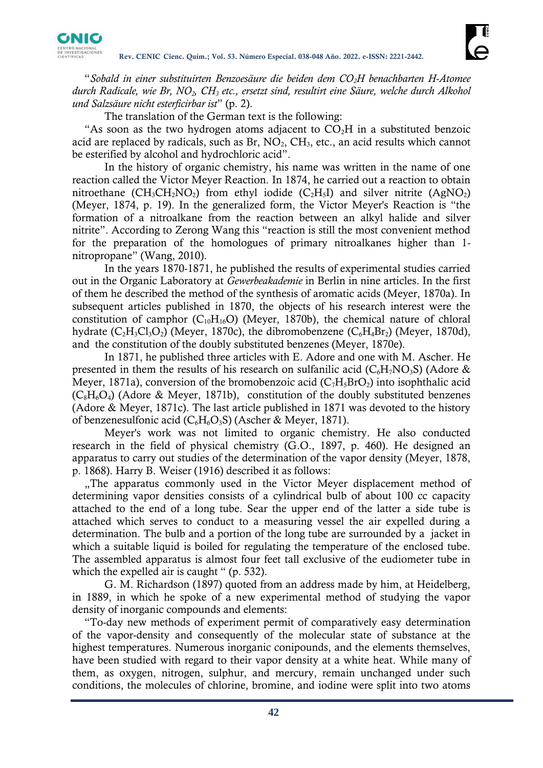

"*Sobald in einer substituirten Benzoesäure die beiden dem CO2H benachbarten H-Atomee durch Radicale, wie Br, NO2, CH<sup>3</sup> etc., ersetzt sind, resultirt eine Säure, welche durch Alkohol und Salzsäure nicht esterficirbar ist*" (p. 2).

The translation of the German text is the following:

"As soon as the two hydrogen atoms adjacent to  $CO<sub>2</sub>H$  in a substituted benzoic acid are replaced by radicals, such as  $Br, NO<sub>2</sub>, CH<sub>3</sub>, etc.,$  an acid results which cannot be esterified by alcohol and hydrochloric acid".

In the history of organic chemistry, his name was written in the name of one reaction called the Victor Meyer Reaction. In 1874, he carried out a reaction to obtain nitroethane ( $CH_3CH_2NO_2$ ) from ethyl iodide ( $C_2H_5I$ ) and silver nitrite (AgNO<sub>2</sub>) (Meyer, 1874, p. 19). In the generalized form, the Victor Meyer's Reaction is "the formation of a nitroalkane from the reaction between an alkyl halide and silver nitrite". According to Zerong Wang this "reaction is still the most convenient method for the preparation of the homologues of primary nitroalkanes higher than 1 nitropropane" (Wang, 2010).

In the years 1870-1871, he published the results of experimental studies carried out in the Organic Laboratory at *Gewerbeakademie* in Berlin in nine articles. In the first of them he described the method of the synthesis of aromatic acids (Meyer, 1870a). In subsequent articles published in 1870, the objects of his research interest were the constitution of camphor  $(C_{10}H_{16}O)$  (Meyer, 1870b), the chemical nature of chloral hydrate  $(C_2H_3C_1O_2)$  (Meyer, 1870c), the dibromobenzene  $(C_6H_4Br_2)$  (Meyer, 1870d), and the constitution of the doubly substituted benzenes (Meyer, 1870e).

In 1871, he published three articles with E. Adore and one with M. Ascher. He presented in them the results of his research on sulfanilic acid ( $C_6H_7NO_3S$ ) (Adore & Meyer, 1871a), conversion of the bromobenzoic acid  $(C_7H_5BrO_2)$  into isophthalic acid  $(C_8H_6O_4)$  (Adore & Meyer, 1871b), constitution of the doubly substituted benzenes (Adore & Meyer, 1871c). The last article published in 1871 was devoted to the history of benzenesulfonic acid ( $C_6H_6O_3S$ ) (Ascher & Meyer, 1871).

Meyer's work was not limited to organic chemistry. He also conducted research in the field of physical chemistry (G.O., 1897, p. 460). He designed an apparatus to carry out studies of the determination of the vapor density (Meyer, 1878, p. 1868). Harry B. Weiser (1916) described it as follows:

"The apparatus commonly used in the Victor Meyer displacement method of determining vapor densities consists of a cylindrical bulb of about 100 cc capacity attached to the end of a long tube. Sear the upper end of the latter a side tube is attached which serves to conduct to a measuring vessel the air expelled during a determination. The bulb and a portion of the long tube are surrounded by a jacket in which a suitable liquid is boiled for regulating the temperature of the enclosed tube. The assembled apparatus is almost four feet tall exclusive of the eudiometer tube in which the expelled air is caught " (p. 532).

G. M. Richardson (1897) quoted from an address made by him, at Heidelberg, in 1889, in which he spoke of a new experimental method of studying the vapor density of inorganic compounds and elements:

"To-day new methods of experiment permit of comparatively easy determination of the vapor-density and consequently of the molecular state of substance at the highest temperatures. Numerous inorganic conipounds, and the elements themselves, have been studied with regard to their vapor density at a white heat. While many of them, as oxygen, nitrogen, sulphur, and mercury, remain unchanged under such conditions, the molecules of chlorine, bromine, and iodine were split into two atoms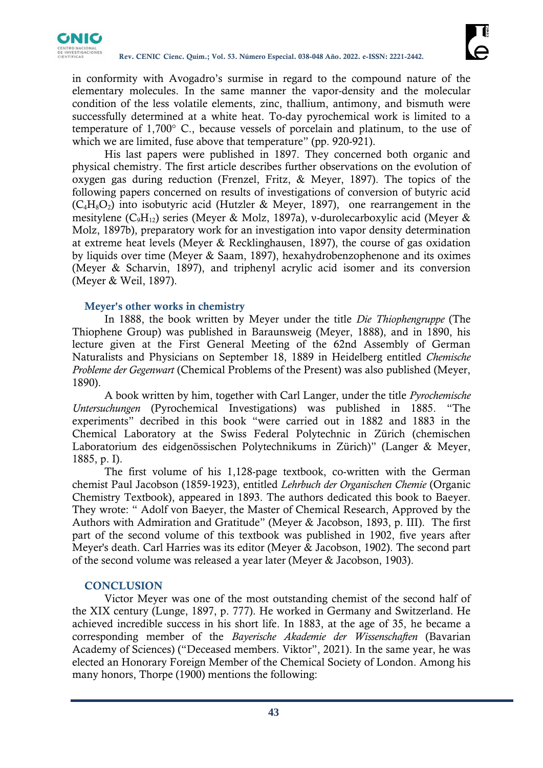

in conformity with Avogadro's surmise in regard to the compound nature of the elementary molecules. In the same manner the vapor-density and the molecular condition of the less volatile elements, zinc, thallium, antimony, and bismuth were successfully determined at a white heat. To-day pyrochemical work is limited to a temperature of 1,700° C., because vessels of porcelain and platinum, to the use of which we are limited, fuse above that temperature" (pp. 920-921).

His last papers were published in 1897. They concerned both organic and physical chemistry. The first article describes further observations on the evolution of oxygen gas during reduction (Frenzel, Fritz, & Meyer, 1897). The topics of the following papers concerned on results of investigations of conversion of butyric acid  $(C_4H_8O_2)$  into isobutyric acid (Hutzler & Meyer, 1897), one rearrangement in the mesitylene ( $C_9H_{12}$ ) series (Meyer & Molz, 1897a), v-durolecarboxylic acid (Meyer & Molz, 1897b), preparatory work for an investigation into vapor density determination at extreme heat levels (Meyer & Recklinghausen, 1897), the course of gas oxidation by liquids over time (Meyer & Saam, 1897), hexahydrobenzophenone and its oximes (Meyer & Scharvin, 1897), and triphenyl acrylic acid isomer and its conversion (Meyer & Weil, 1897).

## **Meyer's other works in chemistry**

In 1888, the book written by Meyer under the title *Die Thiophengruppe* (The Thiophene Group) was published in Baraunsweig (Meyer, 1888), and in 1890, his lecture given at the First General Meeting of the 62nd Assembly of German Naturalists and Physicians on September 18, 1889 in Heidelberg entitled *Chemische Probleme der Gegenwart* (Chemical Problems of the Present) was also published (Meyer, 1890).

A book written by him, together with Carl Langer, under the title *Pyrochemische Untersuchungen* (Pyrochemical Investigations) was published in 1885. "The experiments" decribed in this book "were carried out in 1882 and 1883 in the Chemical Laboratory at the Swiss Federal Polytechnic in Zürich (chemischen Laboratorium des eidgenössischen Polytechnikums in Zürich)" (Langer & Meyer, 1885, p. I).

The first volume of his 1,128-page textbook, co-written with the German chemist Paul Jacobson (1859-1923), entitled *Lehrbuch der Organischen Chemie* (Organic Chemistry Textbook), appeared in 1893. The authors dedicated this book to Baeyer. They wrote: " Adolf von Baeyer, the Master of Chemical Research, Approved by the Authors with Admiration and Gratitude" (Meyer & Jacobson, 1893, p. III). The first part of the second volume of this textbook was published in 1902, five years after Meyer's death. Carl Harries was its editor (Meyer & Jacobson, 1902). The second part of the second volume was released a year later (Meyer & Jacobson, 1903).

## **CONCLUSION**

Victor Meyer was one of the most outstanding chemist of the second half of the XIX century (Lunge, 1897, p. 777). He worked in Germany and Switzerland. He achieved incredible success in his short life. In 1883, at the age of 35, he became a corresponding member of the *Bayerische Akademie der Wissenschaften* (Bavarian Academy of Sciences) ("Deceased members. Viktor", 2021). In the same year, he was elected an Honorary Foreign Member of the Chemical Society of London. Among his many honors, Thorpe (1900) mentions the following: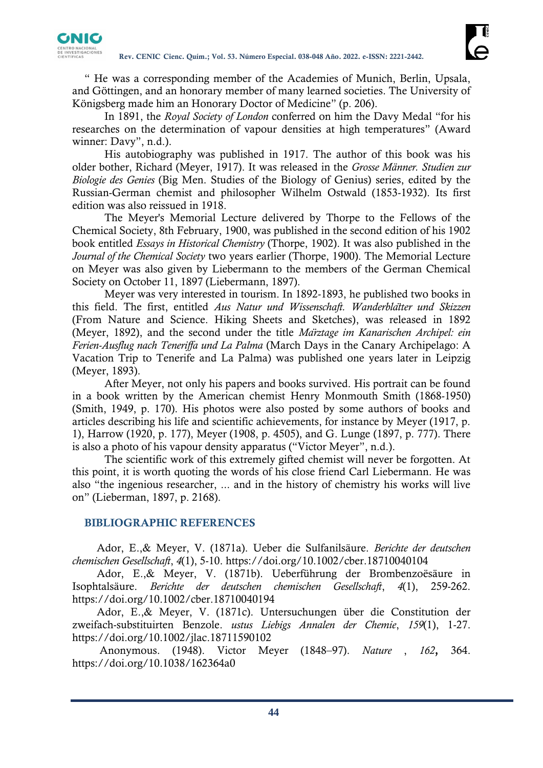

" He was a corresponding member of the Academies of Munich, Berlin, Upsala, and Göttingen, and an honorary member of many learned societies. The University of Königsberg made him an Honorary Doctor of Medicine" (p. 206).

In 1891, the *Royal Society of London* conferred on him the Davy Medal "for his researches on the determination of vapour densities at high temperatures" (Award winner: Davy", n.d.).

His autobiography was published in 1917. The author of this book was his older bother, Richard (Meyer, 1917). It was released in the *Grosse Männer. Studien zur Biologie des Genies* (Big Men. Studies of the Biology of Genius) series, edited by the Russian-German chemist and philosopher Wilhelm Ostwald (1853-1932). Its first edition was also reissued in 1918.

The Meyer's Memorial Lecture delivered by Thorpe to the Fellows of the Chemical Society, 8th February, 1900, was published in the second edition of his 1902 book entitled *Essays in Historical Chemistry* (Thorpe, 1902). It was also published in the *Journal of the Chemical Society* two years earlier (Thorpe, 1900). The Memorial Lecture on Meyer was also given by Liebermann to the members of the German Chemical Society on October 11, 1897 (Liebermann, 1897).

Meyer was very interested in tourism. In 1892-1893, he published two books in this field. The first, entitled *Aus Natur und Wissenschaft. Wanderblätter und Skizzen*  (From Nature and Science. Hiking Sheets and Sketches), was released in 1892 (Meyer, 1892), and the second under the title *Märztage im Kanarischen Archipel: ein Ferien-Ausflug nach Teneriffa und La Palma* (March Days in the Canary Archipelago: A Vacation Trip to Tenerife and La Palma) was published one years later in Leipzig (Meyer, 1893).

After Meyer, not only his papers and books survived. His portrait can be found in a book written by the American chemist Henry Monmouth Smith (1868-1950) (Smith, 1949, p. 170). His photos were also posted by some authors of books and articles describing his life and scientific achievements, for instance by Meyer (1917, p. 1), Harrow (1920, p. 177), Meyer (1908, p. 4505), and G. Lunge (1897, p. 777). There is also a photo of his vapour density apparatus ("Victor Meyer", n.d.).

The scientific work of this extremely gifted chemist will never be forgotten. At this point, it is worth quoting the words of his close friend Carl Liebermann. He was also "the ingenious researcher, ... and in the history of chemistry his works will live on" (Lieberman, 1897, p. 2168).

# **BIBLIOGRAPHIC REFERENCES**

Ador, E.,& Meyer, V. (1871a). Ueber die Sulfanilsäure. *Berichte der deutschen chemischen Gesellschaft*, *4*(1), 5-10.<https://doi.org/10.1002/cber.18710040104>

Ador, E.,& Meyer, V. (1871b). Ueberführung der Brombenzoësäure in Isophtalsäure. *Berichte der deutschen chemischen Gesellschaft*, *4*(1), 259-262. <https://doi.org/10.1002/cber.18710040194>

Ador, E.,& Meyer, V. (1871c). Untersuchungen über die Constitution der zweifach-substituirten Benzole. *ustus Liebigs Annalen der Chemie*, *159*(1), 1-27. <https://doi.org/10.1002/jlac.18711590102>

Anonymous. (1948). Victor Meyer (1848–97). *Nature* , *162***,** 364. <https://doi.org/10.1038/162364a0>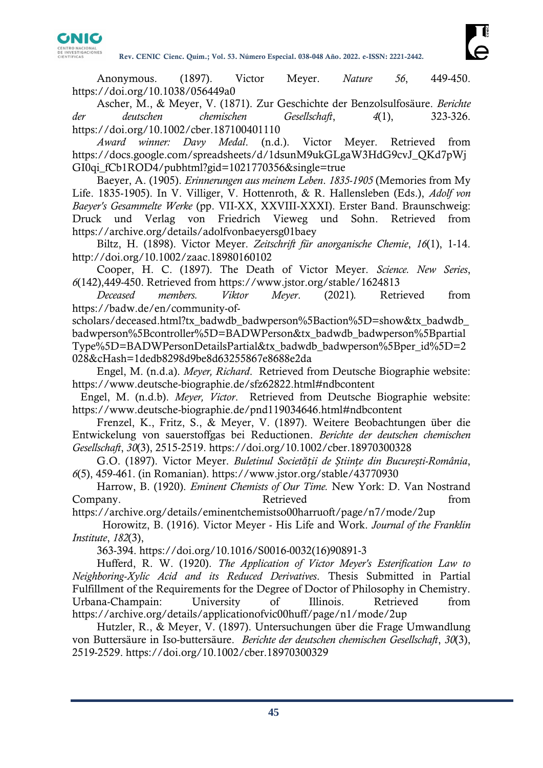

Anonymous. (1897). Victor Meyer. *Nature 56*, 449-450. <https://doi.org/10.1038/056449a0>

Ascher, M., & Meyer, V. (1871). Zur Geschichte der Benzolsulfosäure. *Berichte der deutschen chemischen Gesellschaft*, *4*(1), 323-326. <https://doi.org/10.1002/cber.187100401110>

*Award winner: Davy Medal*. (n.d.). Victor Meyer. Retrieved from [https://docs.google.com/spreadsheets/d/1dsunM9ukGLgaW3HdG9cvJ\\_QKd7pWj](https://docs.google.com/spreadsheets/d/1dsunM9ukGLgaW3HdG9cvJ_QKd7pWjGI0qi_fCb1ROD4/pubhtml?gid=1021770356&single=true) GI0qi fCb1ROD4/pubhtml?gid=1021770356&single=true

Baeyer, A. (1905). *Erinnerungen aus meinem Leben*. *1835-1905* (Memories from My Life. 1835-1905). In V. Villiger, V. Hottenroth, & R. Hallensleben (Eds.), *Adolf von Baeyer's Gesammelte Werke* (pp. VII-XX, XXVIII-XXXI). Erster Band. Braunschweig: Druck und Verlag von Friedrich Vieweg und Sohn. Retrieved from <https://archive.org/details/adolfvonbaeyersg01baey>

Biltz, H. (1898). Victor Meyer. *Zeitschrift für anorganische Chemie*, *16*(1), 1-14. <http://doi.org/10.1002/zaac.18980160102>

Cooper, H. C. (1897). The Death of Victor Meyer. *Science. New Series*, *6*(142),449-450. Retrieved from<https://www.jstor.org/stable/1624813>

*Deceased members. Viktor Meyer*. (2021)*.* Retrieved from [https://badw.de/en/community-of-](https://badw.de/en/community-of-scholars/deceased.html?tx_badwdb_badwperson%5Baction%5D=show&tx_badwdb_badwperson%5Bcontroller%5D=BADWPerson&tx_badwdb_badwperson%5BpartialType%5D=BADWPersonDetailsPartial&tx_badwdb_badwperson%5Bper_id%5D=2028&cHash=1dedb8298d9be8d63255867e8688e2da)

scholars/deceased.html?tx\_badwdb\_badwperson%5Baction%5D=show&tx\_badwdb [badwperson%5Bcontroller%5D=BADWPerson&tx\\_badwdb\\_badwperson%5Bpartial](https://badw.de/en/community-of-scholars/deceased.html?tx_badwdb_badwperson%5Baction%5D=show&tx_badwdb_badwperson%5Bcontroller%5D=BADWPerson&tx_badwdb_badwperson%5BpartialType%5D=BADWPersonDetailsPartial&tx_badwdb_badwperson%5Bper_id%5D=2028&cHash=1dedb8298d9be8d63255867e8688e2da) [Type%5D=BADWPersonDetailsPartial&tx\\_badwdb\\_badwperson%5Bper\\_id%5D=2](https://badw.de/en/community-of-scholars/deceased.html?tx_badwdb_badwperson%5Baction%5D=show&tx_badwdb_badwperson%5Bcontroller%5D=BADWPerson&tx_badwdb_badwperson%5BpartialType%5D=BADWPersonDetailsPartial&tx_badwdb_badwperson%5Bper_id%5D=2028&cHash=1dedb8298d9be8d63255867e8688e2da) [028&cHash=1dedb8298d9be8d63255867e8688e2da](https://badw.de/en/community-of-scholars/deceased.html?tx_badwdb_badwperson%5Baction%5D=show&tx_badwdb_badwperson%5Bcontroller%5D=BADWPerson&tx_badwdb_badwperson%5BpartialType%5D=BADWPersonDetailsPartial&tx_badwdb_badwperson%5Bper_id%5D=2028&cHash=1dedb8298d9be8d63255867e8688e2da)

Engel, M. (n.d.a). *Meyer, Richard*. Retrieved from Deutsche Biographie website: <https://www.deutsche-biographie.de/sfz62822.html#ndbcontent>

 Engel, M. (n.d.b). *Meyer, Victor*. Retrieved from Deutsche Biographie website: <https://www.deutsche-biographie.de/pnd119034646.html#ndbcontent>

Frenzel, K., Fritz, S., & Meyer, V. (1897). Weitere Beobachtungen über die Entwickelung von sauerstoffgas bei Reductionen. *Berichte der deutschen chemischen Gesellschaft*, *30*(3), 2515-2519.<https://doi.org/10.1002/cber.18970300328>

G.O. (1897). Victor Meyer. *Buletinul Societății de Științe din București-România*, *6*(5), 459-461. (in Romanian).<https://www.jstor.org/stable/43770930>

Harrow, B. (1920). *Eminent Chemists of Our Time.* New York: D. Van Nostrand Company. The Retrieved company.

<https://archive.org/details/eminentchemistso00harruoft/page/n7/mode/2up>

 Horowitz, B. (1916). Victor Meyer - His Life and Work. *Journal of the Franklin Institute*, *182*(3),

363-394. [https://doi.org/10.1016/S0016-0032\(16\)90891-3](https://doi.org/10.1016/S0016-0032(16)90891-3)

Hufferd, R. W. (1920). *The Application of Victor Meyer's Esterification Law to Neighboring-Xylic Acid and its Reduced Derivatives*. Thesis Submitted in Partial Fulfillment of the Requirements for the Degree of Doctor of Philosophy in Chemistry. Urbana-Champain: University of Illinois. Retrieved from <https://archive.org/details/applicationofvic00huff/page/n1/mode/2up>

Hutzler, R., & Meyer, V. (1897). Untersuchungen über die Frage Umwandlung von Buttersäure in Iso-buttersäure. *Berichte der deutschen chemischen Gesellschaft*, *30*(3), 2519-2529.<https://doi.org/10.1002/cber.18970300329>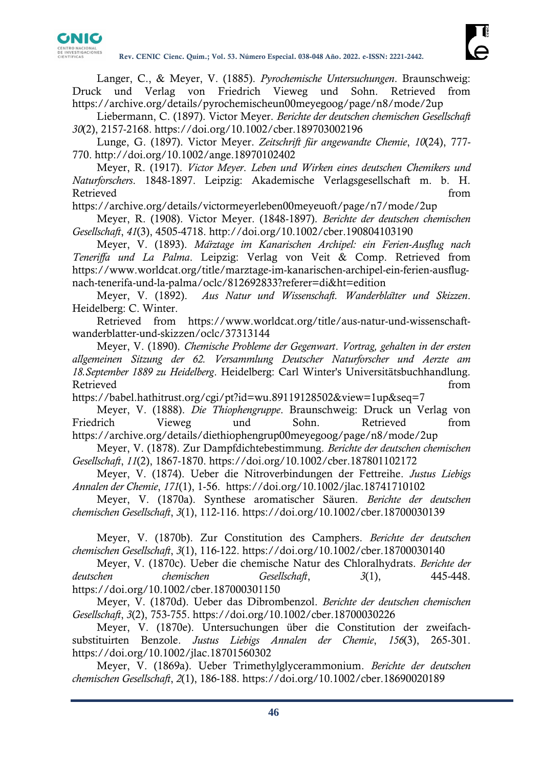

Langer, C., & Meyer, V. (1885). *Pyrochemische Untersuchungen*. Braunschweig: Druck und Verlag von Friedrich Vieweg und Sohn. Retrieved from <https://archive.org/details/pyrochemischeun00meyegoog/page/n8/mode/2up>

Liebermann, C. (1897). Victor Meyer. *Berichte der deutschen chemischen Gesellschaft 30*(2), 2157-2168.<https://doi.org/10.1002/cber.189703002196>

Lunge, G. (1897). Victor Meyer. *Zeitschrift für angewandte Chemie*, *10*(24), 777- 770.<http://doi.org/10.1002/ange.18970102402>

Meyer, R. (1917). *Victor Meyer*. *Leben und Wirken eines deutschen Chemikers und Naturforschers*. 1848-1897. Leipzig: Akademische Verlagsgesellschaft m. b. H. Retrieved from the settlement of the settlement of the settlement of the settlement of the settlement of the set

<https://archive.org/details/victormeyerleben00meyeuoft/page/n7/mode/2up>

Meyer, R. (1908). Victor Meyer. (1848-1897). *Berichte der deutschen chemischen Gesellschaft*, *41*(3), 4505-4718.<http://doi.org/10.1002/cber.190804103190>

Meyer, V. (1893). *Märztage im Kanarischen Archipel: ein Ferien-Ausflug nach Teneriffa und La Palma*. Leipzig: Verlag von Veit & Comp. Retrieved from [https://www.worldcat.org/title/marztage-im-kanarischen-archipel-ein-ferien-ausflug](https://www.worldcat.org/title/marztage-im-kanarischen-archipel-ein-ferien-ausflug-nach-tenerifa-und-la-palma/oclc/812692833?referer=di&ht=edition)[nach-tenerifa-und-la-palma/oclc/812692833?referer=di&ht=edition](https://www.worldcat.org/title/marztage-im-kanarischen-archipel-ein-ferien-ausflug-nach-tenerifa-und-la-palma/oclc/812692833?referer=di&ht=edition)

Meyer, V. (1892). *Aus Natur und Wissenschaft. Wanderblätter und Skizzen*. Heidelberg: C. Winter.

Retrieved from [https://www.worldcat.org/title/aus-natur-und-wissenschaft](https://www.worldcat.org/title/aus-natur-und-wissenschaft-wanderblatter-und-skizzen/oclc/37313144)[wanderblatter-und-skizzen/oclc/37313144](https://www.worldcat.org/title/aus-natur-und-wissenschaft-wanderblatter-und-skizzen/oclc/37313144)

Meyer, V. (1890). *Chemische Probleme der Gegenwart*. *Vortrag, gehalten in der ersten allgemeinen Sitzung der 62. Versammlung Deutscher Naturforscher und Aerzte am 18.September 1889 zu Heidelberg*. Heidelberg: Carl Winter's Universitätsbuchhandlung. Retrieved from the state of the state of the state of the state of the state of the state of the state of the state of the state of the state of the state of the state of the state of the state of the state of the state of

<https://babel.hathitrust.org/cgi/pt?id=wu.89119128502&view=1up&seq=7>

Meyer, V. (1888). *Die Thiophengruppe*. Braunschweig: Druck un Verlag von Friedrich Vieweg und Sohn. Retrieved from https://archive.org/details/diethiophengrup00meyegoog/page/n8/mode/2up

Meyer, V. (1878). Zur Dampfdichtebestimmung. *Berichte der deutschen chemischen Gesellschaft*, *11*(2), 1867-1870.<https://doi.org/10.1002/cber.187801102172>

Meyer, V. (1874). Ueber die Nitroverbindungen der Fettreihe. *Justus Liebigs Annalen der Chemie*, *171*(1), 1-56. <https://doi.org/10.1002/jlac.18741710102>

Meyer, V. (1870a). Synthese aromatischer Säuren. *Berichte der deutschen chemischen Gesellschaft*, *3*(1), 112-116.<https://doi.org/10.1002/cber.18700030139>

Meyer, V. (1870b). Zur Constitution des Camphers. *Berichte der deutschen chemischen Gesellschaft*, *3*(1), 116-122.<https://doi.org/10.1002/cber.18700030140>

Meyer, V. (1870c). Ueber die chemische Natur des Chloralhydrats. *Berichte der deutschen chemischen Gesellschaft*, *3*(1), 445-448. <https://doi.org/10.1002/cber.187000301150>

Meyer, V. (1870d). Ueber das Dibrombenzol. *Berichte der deutschen chemischen Gesellschaft*, *3*(2), 753-755.<https://doi.org/10.1002/cber.18700030226>

Meyer, V. (1870e). Untersuchungen über die Constitution der zweifachsubstituirten Benzole. *Justus Liebigs Annalen der Chemie*, *156*(3), 265-301. <https://doi.org/10.1002/jlac.18701560302>

Meyer, V. (1869a). Ueber Trimethylglycerammonium. *Berichte der deutschen chemischen Gesellschaft*, *2*(1), 186-188.<https://doi.org/10.1002/cber.18690020189>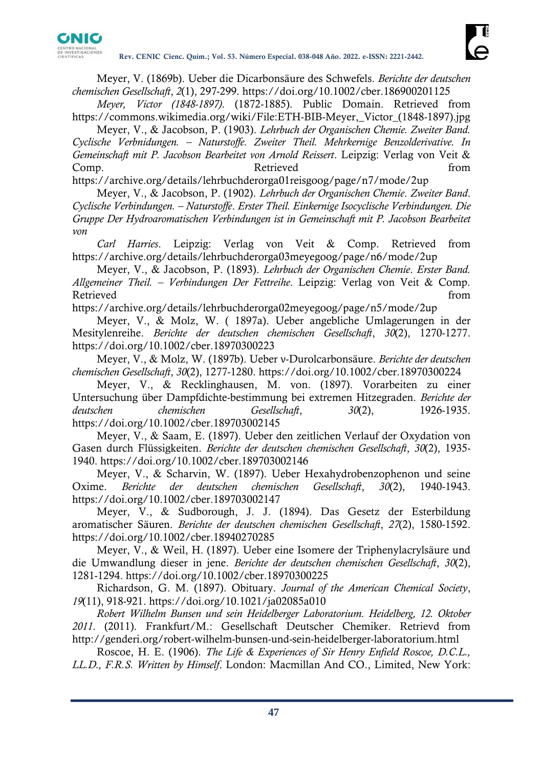

Meyer, V. (1869b). Ueber die Dicarbonsäure des Schwefels. *Berichte der deutschen chemischen Gesellschaft*, *2*(1), 297-299.<https://doi.org/10.1002/cber.186900201125>

*Meyer, Victor (1848-1897)*. (1872-1885). Public Domain. Retrieved from [https://commons.wikimedia.org/wiki/File:ETH-BIB-Meyer,\\_Victor\\_\(1848-1897\).jpg](https://commons.wikimedia.org/wiki/File:ETH-BIB-Meyer,_Victor_(1848-1897).jpg)

Meyer, V., & Jacobson, P. (1903). *Lehrbuch der Organischen Chemie. Zweiter Band. Cyclische Verbnidungen. – Naturstoffe. Zweiter Theil. Mehrkernige Benzolderivative. In Gemeinschaft mit P. Jacobson Bearbeitet von Arnold Reissert*. Leipzig: Verlag von Veit & Comp. Retrieved from

<https://archive.org/details/lehrbuchderorga01reisgoog/page/n7/mode/2up>

Meyer, V., & Jacobson, P. (1902). *Lehrbuch der Organischen Chemie*. *Zweiter Band*. *Cyclische Verbindungen. – Naturstoffe*. *Erster Theil. Einkernige Isocyclische Verbindungen. Die Gruppe Der Hydroaromatischen Verbindungen ist in Gemeinschaft mit P. Jacobson Bearbeitet von* 

*Carl Harries*. Leipzig: Verlag von Veit & Comp. Retrieved from <https://archive.org/details/lehrbuchderorga03meyegoog/page/n6/mode/2up>

Meyer, V., & Jacobson, P. (1893). *Lehrbuch der Organischen Chemie*. *Erster Band. Allgemeiner Theil. – Verbindungen Der Fettreihe*. Leipzig: Verlag von Veit & Comp. Retrieved from the settlement of the settlement of the settlement of the settlement of the settlement of the set

<https://archive.org/details/lehrbuchderorga02meyegoog/page/n5/mode/2up>

Meyer, V., & Molz, W. ( 1897a). Ueber angebliche Umlagerungen in der Mesitylenreihe. *Berichte der deutschen chemischen Gesellschaft*, *30*(2), 1270-1277. <https://doi.org/10.1002/cber.18970300223>

Meyer, V., & Molz, W. (1897b). Ueber ν-Durolcarbonsäure. *Berichte der deutschen chemischen Gesellschaft*, *30*(2), 1277-1280.<https://doi.org/10.1002/cber.18970300224>

Meyer, V., & Recklinghausen, M. von. (1897). Vorarbeiten zu einer Untersuchung über Dampfdichte-bestimmung bei extremen Hitzegraden. *Berichte der deutschen chemischen Gesellschaft*, *30*(2), 1926-1935. <https://doi.org/10.1002/cber.189703002145>

Meyer, V., & Saam, E. (1897). Ueber den zeitlichen Verlauf der Oxydation von Gasen durch Flüssigkeiten. *Berichte der deutschen chemischen Gesellschaft*, *30*(2), 1935- 1940.<https://doi.org/10.1002/cber.189703002146>

Meyer, V., & Scharvin, W. (1897). Ueber Hexahydrobenzophenon und seine Oxime. *Berichte der deutschen chemischen Gesellschaft*, *30*(2), 1940-1943. <https://doi.org/10.1002/cber.189703002147>

Meyer, V., & Sudborough, J. J. (1894). Das Gesetz der Esterbildung aromatischer Säuren. *Berichte der deutschen chemischen Gesellschaft*, *27*(2), 1580-1592. <https://doi.org/10.1002/cber.18940270285>

Meyer, V., & Weil, H. (1897). Ueber eine Isomere der Triphenylacrylsäure und die Umwandlung dieser in jene. *Berichte der deutschen chemischen Gesellschaft*, *30*(2), 1281-1294.<https://doi.org/10.1002/cber.18970300225>

Richardson, G. M. (1897). Obituary. *Journal of the American Chemical Society*, *19*(11), 918-921.<https://doi.org/10.1021/ja02085a010>

*Robert Wilhelm Bunsen und sein Heidelberger Laboratorium. Heidelberg, 12. Oktober 2011*. (2011). Frankfurt/M.: Gesellschaft Deutscher Chemiker. Retrievd from <http://genderi.org/robert-wilhelm-bunsen-und-sein-heidelberger-laboratorium.html>

Roscoe, H. E. (1906). *The Life & Experiences of Sir Henry Enfield Roscoe, D.C.L., LL.D., F.R.S. Written by Himself*. London: Macmillan And CO., Limited, New York: